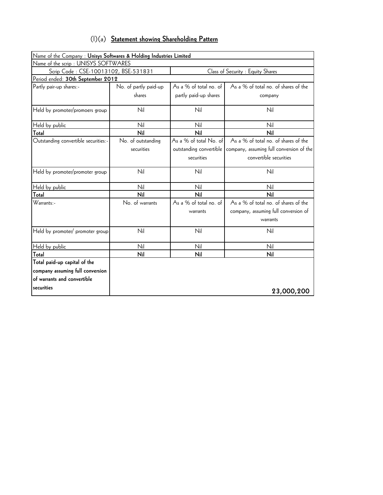| $(1)(a)$ Statement showing Shareholding Pattern |  |  |  |  |  |
|-------------------------------------------------|--|--|--|--|--|
|-------------------------------------------------|--|--|--|--|--|

| Name of the Company: Unisys Softwares & Holding Industries Limited        |                       |                         |                                          |  |  |  |  |  |
|---------------------------------------------------------------------------|-----------------------|-------------------------|------------------------------------------|--|--|--|--|--|
| Name of the scrip : UNISYS SOFTWARES                                      |                       |                         |                                          |  |  |  |  |  |
| Scrip Code: CSE-10013102, BSE-531831<br>Class of Security : Equity Shares |                       |                         |                                          |  |  |  |  |  |
| Period ended: 30th September 2012                                         |                       |                         |                                          |  |  |  |  |  |
| Partly pair-up shares:-                                                   | No. of partly paid-up | As a % of total no. of  | As a % of total no. of shares of the     |  |  |  |  |  |
|                                                                           | shares                | partly paid-up shares   | company                                  |  |  |  |  |  |
| Held by promoter/promoers group                                           | Nil                   | Nil                     | Nil                                      |  |  |  |  |  |
| Held by public                                                            | Nil                   | Nil                     | Nil                                      |  |  |  |  |  |
| Total                                                                     | Nil                   | Nil                     | Nil                                      |  |  |  |  |  |
| Outstanding convertible securities:-                                      | No. of outstanding    | As a % of total No. of  | As a % of total no. of shares of the     |  |  |  |  |  |
|                                                                           | securities            | outstanding convertible | company, assuming full conversion of the |  |  |  |  |  |
|                                                                           |                       | securities              | convertible securities                   |  |  |  |  |  |
| Held by promoter/promoter group                                           | Nil                   | Nil                     | Nil                                      |  |  |  |  |  |
| Held by public                                                            | Nil                   | Nil                     | Nil                                      |  |  |  |  |  |
| Total                                                                     | Nil                   | Nil                     | Nil                                      |  |  |  |  |  |
| $Warrants$ .                                                              | No. of warrants       | As a % of total no. of  | As a % of total no. of shares of the     |  |  |  |  |  |
|                                                                           |                       | warrants                | company, assuming full conversion of     |  |  |  |  |  |
|                                                                           |                       |                         | warrants                                 |  |  |  |  |  |
| Held by promoter/ promoter group                                          | Nil                   | Nil                     | Nil                                      |  |  |  |  |  |
| Held by public                                                            | Nil                   | Nil                     | Nil                                      |  |  |  |  |  |
| Total                                                                     | Nil                   | Nil                     | Nil                                      |  |  |  |  |  |
| Total paid-up capital of the                                              |                       |                         |                                          |  |  |  |  |  |
| company assuming full conversion                                          |                       |                         |                                          |  |  |  |  |  |
| of warrants and convertible                                               |                       |                         |                                          |  |  |  |  |  |
| securities                                                                |                       |                         | 23,000,200                               |  |  |  |  |  |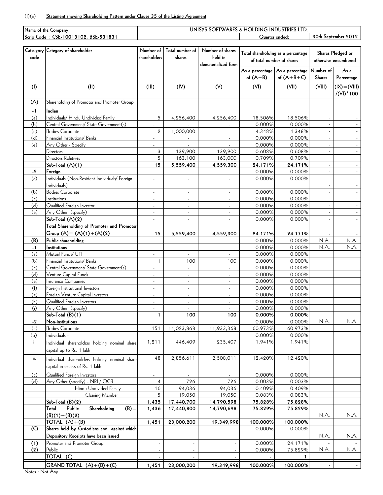## (I)(a) **Statement showing Shareholding Pattern under Clause 35 of the Listing Agreement**

| Name of the Company: |                                                | UNISYS SOFTWARES & HOLDING INDUSTRIES LTD. |                          |                          |                                    |                                   |               |                      |  |
|----------------------|------------------------------------------------|--------------------------------------------|--------------------------|--------------------------|------------------------------------|-----------------------------------|---------------|----------------------|--|
|                      | Scrip Code: CSE-10013102, BSE-531831           |                                            |                          |                          | Quarter ended:                     |                                   |               | 30th September 2012  |  |
|                      |                                                |                                            |                          |                          |                                    |                                   |               |                      |  |
|                      | Cate-gory Category of shareholder              | Number of                                  | Total number of          | Number of shares         |                                    |                                   |               |                      |  |
| code                 |                                                | shareholders                               | shares                   | held in                  | Total shareholding as a percentage |                                   |               | Shares Pledged or    |  |
|                      |                                                |                                            |                          | dematerialized form      |                                    | of total number of shares         |               | otherwise encumbered |  |
|                      |                                                |                                            |                          |                          |                                    | As a percentage   As a percentage | Number of     | As a                 |  |
|                      |                                                |                                            |                          |                          | of $(A+B)$                         | of $(A+B+C)$                      | Shares        | Percentage           |  |
|                      |                                                |                                            |                          |                          |                                    |                                   |               |                      |  |
| (1)                  | (II)                                           | (III)                                      | (IV)                     | (V)                      | (VI)                               | (VII)                             | (VIII)        | $(IX) = (VIII)$      |  |
|                      |                                                |                                            |                          |                          |                                    |                                   |               | /(VI) * 100          |  |
| (A)                  | Shareholding of Promoter and Promoter Group    |                                            |                          |                          |                                    |                                   |               |                      |  |
|                      | Indian                                         |                                            |                          |                          |                                    |                                   |               |                      |  |
| $-1$                 |                                                |                                            |                          |                          |                                    |                                   |               |                      |  |
| (a)                  | Individuals/ Hindu Undivided Family            | 5                                          | 4,256,400                | 4,256,400                | 18.506%                            | 18.506%                           |               |                      |  |
| (b)                  | Central Government/ State Government(s)        |                                            |                          |                          | 0.000%                             | 0.000%                            |               |                      |  |
| (c)                  | <b>Bodies Corporate</b>                        | $\overline{2}$                             | 1,000,000                |                          | 4.348%                             | 4.348%                            | $\sim$        |                      |  |
| (d)                  | Financial Institutions/ Banks                  |                                            |                          |                          | 0.000%                             | 0.000%                            |               |                      |  |
| (e)                  | Any Other - Specify                            |                                            |                          |                          | 0.000%                             | 0.000%                            | $\mathcal{L}$ |                      |  |
|                      | Directors                                      | 3                                          | 139,900                  | 139,900                  | 0.608%                             | 0.608%                            | ÷.            |                      |  |
|                      | Directors Relatives                            | 5                                          | 163,100                  | 163,000                  | 0.709%                             | 0.709%                            |               |                      |  |
|                      | Sub-Total (A)(1)                               | 15                                         | 5,559,400                | 4,559,300                | 24.171%                            | 24.171%                           |               |                      |  |
| $-2$                 | Foreign                                        |                                            |                          |                          | 0.000%                             | 0.000%                            |               |                      |  |
| (a)                  | Individuals (Non-Resident Individuals/ Foreign | ÷.                                         |                          |                          | 0.000%                             | 0.000%                            |               |                      |  |
|                      | Individuals)                                   |                                            |                          |                          |                                    |                                   |               |                      |  |
| (b)                  | <b>Bodies Corporate</b>                        | $\overline{\phantom{a}}$                   | ÷,                       | $\blacksquare$           | 0.000%                             | 0.000%                            |               |                      |  |
| (c)                  | Institutions                                   | ÷.                                         | $\omega$                 | ÷.                       | 0.000%                             | 0.000%                            | $\sim$        |                      |  |
| (d)                  | Qualified Foreign Investor                     | ÷,                                         | $\omega$                 |                          | 0.000%                             | 0.000%                            |               |                      |  |
| (e)                  | Any Other (specify)                            | $\mathbf{r}$                               | ×.                       | $\sim$                   | 0.000%                             | 0.000%                            | $\mathcal{L}$ |                      |  |
|                      | Sub-Total (A)(2)                               | $\blacksquare$                             | $\omega$                 | $\blacksquare$           | 0.000%                             | 0.000%                            |               |                      |  |
|                      | Total Shareholding of Promoter and Promoter    |                                            |                          |                          |                                    |                                   |               |                      |  |
|                      |                                                |                                            |                          |                          |                                    |                                   |               |                      |  |
|                      | Group $(A) = (A)(1) + (A)(2)$                  | 15                                         | 5,559,400                | 4,559,300                | 24.171%                            | 24.171%                           |               |                      |  |
| (B)                  | Public shareholding                            |                                            |                          |                          | 0.000%                             | 0.000%                            | N.A.          | N.A.                 |  |
| $-1$                 | Institutions                                   |                                            |                          |                          | 0.000%                             | 0.000%                            | N.A.          | N.A.                 |  |
| (a)                  | Mutual Funds/ UTI                              |                                            |                          |                          | 0.000%                             | 0.000%                            |               |                      |  |
| (b)                  | Financial Institutions/ Banks                  | $\mathbf{1}$                               | 100                      | 100                      | 0.000%                             | 0.000%                            |               |                      |  |
| (c)                  | Central Government/ State Government(s)        | $\blacksquare$                             | $\blacksquare$           | $\blacksquare$           | 0.000%                             | 0.000%                            |               |                      |  |
| (d)                  | Venture Capital Funds                          | $\overline{\phantom{a}}$                   | $\blacksquare$           | $\overline{\phantom{a}}$ | 0.000%                             | 0.000%                            |               |                      |  |
| (e)                  | Insurance Companies                            | $\blacksquare$                             | $\omega$                 | $\blacksquare$           | 0.000%                             | 0.000%                            |               |                      |  |
| (f)                  | Foreign Institutional Investors                | $\blacksquare$                             | $\omega$                 | ÷,                       | 0.000%                             | 0.000%                            |               |                      |  |
| (g)                  | Foreign Venture Capital Investors              | $\overline{a}$                             | ×.                       | $\sim$                   | 0.000%                             | 0.000%                            |               |                      |  |
| (h)                  | Qualified Foreign Investors                    | $\blacksquare$                             | $\sim$                   | $\blacksquare$           | 0.000%                             | 0.000%                            |               |                      |  |
| (i)                  | Any Other (specify)                            | $\overline{\phantom{a}}$                   | $\overline{\phantom{a}}$ | $\overline{\phantom{a}}$ | 0.000%                             | 0.000%                            |               |                      |  |
|                      | $Sub-Total (B)(1)$                             | 1                                          | 100                      | 100                      | 0.000%                             | 0.000%                            |               |                      |  |
| $-2$                 | Non-institutions                               |                                            |                          |                          | 0.000%                             | 0.000%                            | N.A.          | N.A.                 |  |
| (a)                  | <b>Bodies Corporate</b>                        | 151                                        | 14,023,868               | 11,933,368               | 60.973%                            | 60.973%                           |               |                      |  |
| (b)                  | Individuals -                                  |                                            |                          |                          | 0.000%                             | 0.000%                            |               |                      |  |
| i.                   | Individual shareholders holding nominal share  | 1,211                                      | 446,409                  | 235,407                  | 1.941%                             | 1.941%                            |               |                      |  |
|                      | capital up to Rs. 1 lakh.                      |                                            |                          |                          |                                    |                                   |               |                      |  |
|                      |                                                |                                            |                          |                          |                                    |                                   |               |                      |  |
| ii.                  | Individual shareholders holding nominal share  | 48                                         | 2,856,611                | 2,508,011                | 12.420%                            | 12.420%                           |               |                      |  |
|                      | capital in excess of Rs. 1 lakh.               |                                            |                          |                          |                                    |                                   |               |                      |  |
| (c)                  | Qualified Foreign Investors                    | $\blacksquare$                             |                          |                          | 0.000%                             | 0.000%                            |               |                      |  |
| (d)                  | Any Other (specify) - NRI / OCB                | 4                                          | 726                      | 726                      | 0.003%                             | 0.003%                            |               |                      |  |
|                      | Hindu Undivided Family                         | 16                                         | 94,036                   | 94,036                   | 0.409%                             | 0.409%                            |               |                      |  |
|                      | Clearing Member                                | 5                                          | 19,050                   | 19,050                   | 0.083%                             | 0.083%                            |               |                      |  |
|                      |                                                |                                            |                          |                          |                                    |                                   |               |                      |  |
|                      | Sub-Total (B)(2)                               | 1,435                                      | 17,440,700               | 14,790,598               | 75.828%                            | 75.828%                           |               |                      |  |
|                      | Public<br>Shareholding<br>$(B) =$<br>Total     | 1,436                                      | 17,440,800               | 14,790,698               | 75.829%                            | 75.829%                           |               |                      |  |
|                      | $(B)(1)+(B)(2)$                                |                                            |                          |                          |                                    |                                   | N.A.          | N.A.                 |  |
|                      | TOTAL $(A)+(B)$                                | 1,451                                      | 23,000,200               | 19,349,998               | 100.000%                           | 100.000%                          |               |                      |  |
| (C)                  | Shares held by Custodians and against which    |                                            |                          |                          | 0.000%                             | 0.000%                            |               |                      |  |
|                      | Depository Receipts have been issued           |                                            |                          |                          |                                    |                                   | N.A.          | N.A.                 |  |
| (1)                  | Promoter and Promoter Group                    |                                            |                          |                          | 0.000%                             | 24.171%                           |               |                      |  |
| (2)                  | Public                                         |                                            |                          |                          | 0.000%                             | 75.829%                           | N.A.          | N.A.                 |  |
|                      | TOTAL <sub>(C)</sub>                           |                                            |                          |                          |                                    |                                   |               |                      |  |
|                      | GRAND TOTAL $(A)+(B)+(C)$                      | 1,451                                      | 23,000,200               | 19,349,998               | 100.000%                           | 100.000%                          |               |                      |  |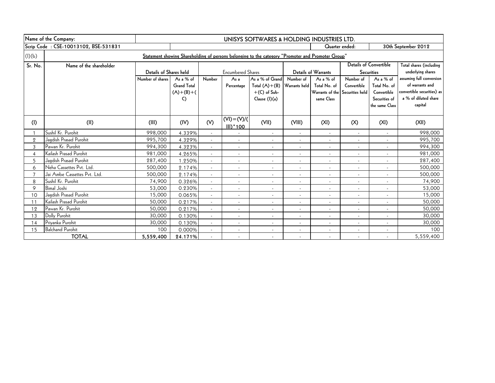|                                      | Name of the Company:                                                                              | UNISYS SOFTWARES & HOLDING INDUSTRIES LTD. |                    |                          |                               |                          |                          |                                 |                          |                               |                                 |  |
|--------------------------------------|---------------------------------------------------------------------------------------------------|--------------------------------------------|--------------------|--------------------------|-------------------------------|--------------------------|--------------------------|---------------------------------|--------------------------|-------------------------------|---------------------------------|--|
| Scrip Code: CSE-10013102, BSE-531831 |                                                                                                   |                                            |                    |                          |                               |                          |                          |                                 | Quarter ended:           |                               | 30th September 2012             |  |
| (l)(b)                               | Statement showing Shareholding of persons belonging to the category "Promoter and Promoter Group" |                                            |                    |                          |                               |                          |                          |                                 |                          |                               |                                 |  |
| Sr. No.                              | Name of the shareholder                                                                           |                                            |                    |                          |                               |                          |                          |                                 |                          | <b>Details of Convertible</b> | Total shares (including         |  |
|                                      |                                                                                                   | Details of Shares held                     |                    |                          | <b>Encumbered Shares</b>      |                          |                          | <b>Details of Warrants</b>      |                          | <b>Securities</b>             | underlying shares               |  |
|                                      |                                                                                                   | Number of shares                           | As a % of          | Number                   | As <sub>a</sub>               | As a % of Grand          | Number of                | As a % of                       | Number of                | As a % of                     | assuming full conversion        |  |
|                                      |                                                                                                   |                                            | <b>Grand Total</b> |                          | Percentage                    | Total $(A)+(B)$          | Warrants held            | Total No. of                    | Convertible              | Total No. of                  | of warrants and                 |  |
|                                      |                                                                                                   |                                            | $(A)+(B)+(C)$      |                          |                               | $+(C)$ of Sub-           |                          | Warrants of the Securities held |                          | Convertible                   | convertible securities) as      |  |
|                                      |                                                                                                   |                                            | C)                 |                          |                               | Clause (I)(a)            |                          | same Class                      |                          | Securities of                 | a % of diluted share<br>capital |  |
|                                      |                                                                                                   |                                            |                    |                          |                               |                          |                          |                                 |                          | the same Class                |                                 |  |
| (1)                                  | (II)                                                                                              | (III)                                      | (IV)               | (V)                      | $(VI) = (V)/($<br>$III)^*100$ | (VII)                    | (VIII)                   | (XI)                            | (X)                      | (XI)                          | (X  )                           |  |
|                                      | Sushil Kr. Purohit                                                                                | 998,000                                    | 4.339%             |                          |                               | $\overline{\phantom{a}}$ |                          | $\overline{\phantom{a}}$        |                          |                               | 998,000                         |  |
| $\overline{2}$                       | Jagdish Prasad Purohit                                                                            | 995,700                                    | 4.329%             |                          | $\overline{\phantom{a}}$      | $\overline{\phantom{a}}$ |                          | $\overline{\phantom{a}}$        |                          |                               | 995,700                         |  |
| 3                                    | Pawan Kr. Purohit                                                                                 | 994,300                                    | 4.323%             | $\blacksquare$           | $\overline{\phantom{a}}$      | $\overline{\phantom{a}}$ |                          | $\overline{\phantom{a}}$        | $\overline{\phantom{a}}$ | $\overline{\phantom{a}}$      | 994,300                         |  |
| $\overline{4}$                       | Kailash Prasad Purohit                                                                            | 981,000                                    | 4.265%             |                          | $\overline{\phantom{a}}$      | $\overline{\phantom{a}}$ | $\overline{a}$           | $\sim$                          | $\overline{\phantom{a}}$ | $\overline{\phantom{a}}$      | 981,000                         |  |
| 5                                    | Jagdish Prasad Purohit                                                                            | 287,400                                    | 1.250%             |                          | $\blacksquare$                | $\blacksquare$           |                          | $\overline{\phantom{a}}$        | $\overline{\phantom{a}}$ | $\blacksquare$                | 287,400                         |  |
| 6                                    | Neha Cassettes Pvt. Ltd.                                                                          | 500,000                                    | 2.174%             |                          | $\overline{\phantom{a}}$      | $\overline{\phantom{a}}$ | $\overline{\phantom{a}}$ | $\overline{\phantom{a}}$        | $\overline{\phantom{a}}$ | $\overline{\phantom{a}}$      | 500,000                         |  |
| $\overline{7}$                       | Jai Ambe Cassettes Pvt. Ltd.                                                                      | 500,000                                    | 2.174%             | $\overline{\phantom{a}}$ | $\overline{\phantom{a}}$      | $\overline{\phantom{a}}$ | $\overline{\phantom{a}}$ | $\overline{\phantom{a}}$        | $\overline{\phantom{a}}$ | $\overline{\phantom{a}}$      | 500,000                         |  |
| 8                                    | Sushil Kr. Purohit                                                                                | 74,900                                     | 0.326%             | $\blacksquare$           | $\blacksquare$                | $\blacksquare$           | $\blacksquare$           | $\sim$                          | $\overline{\phantom{a}}$ | $\blacksquare$                | 74,900                          |  |
| 9                                    | <b>Bimal Joshi</b>                                                                                | 53,000                                     | 0.230%             | $\overline{\phantom{a}}$ | $\overline{\phantom{a}}$      | $\overline{\phantom{a}}$ | $\overline{\phantom{a}}$ | $\overline{\phantom{a}}$        | $\overline{\phantom{a}}$ | $\overline{\phantom{a}}$      | 53,000                          |  |
| 10                                   | Jagdish Prasad Purohit                                                                            | 15,000                                     | 0.065%             |                          | $\overline{\phantom{a}}$      | $\overline{\phantom{a}}$ |                          | $\overline{\phantom{a}}$        | $\overline{\phantom{a}}$ | $\overline{\phantom{a}}$      | 15,000                          |  |
| 11                                   | Kailash Prasad Purohit                                                                            | 50,000                                     | 0.217%             | $\overline{\phantom{a}}$ | $\overline{\phantom{a}}$      | $\overline{\phantom{a}}$ | $\overline{\phantom{a}}$ | $\overline{\phantom{a}}$        | $\overline{\phantom{a}}$ | $\overline{\phantom{a}}$      | 50,000                          |  |
| 12                                   | Pawan Kr. Purohit                                                                                 | 50,000                                     | 0.217%             |                          | $\blacksquare$                | $\blacksquare$           | $\overline{\phantom{a}}$ | $\overline{\phantom{a}}$        |                          | $\blacksquare$                | 50,000                          |  |
| 13                                   | Dolly Purohit                                                                                     | 30,000                                     | 0.130%             |                          | $\overline{\phantom{a}}$      | $\overline{\phantom{a}}$ |                          |                                 |                          | $\overline{\phantom{a}}$      | 30,000                          |  |
| 14                                   | Priyanka Purohit                                                                                  | 30,000                                     | 0.130%             |                          | $\overline{\phantom{a}}$      | $\overline{\phantom{a}}$ | $\overline{\phantom{a}}$ |                                 |                          | $\overline{\phantom{a}}$      | 30,000                          |  |
| 15                                   | <b>Balchand Purohit</b>                                                                           | 100                                        | 0.000%             |                          | $\overline{\phantom{a}}$      | $\overline{\phantom{a}}$ |                          | $\overline{\phantom{a}}$        | $\overline{\phantom{a}}$ | $\overline{\phantom{a}}$      | 100                             |  |
|                                      | <b>TOTAL</b>                                                                                      | 5,559,400                                  | 24.171%            |                          | $\overline{\phantom{a}}$      | $\blacksquare$           |                          | $\sim$                          |                          |                               | 5,559,400                       |  |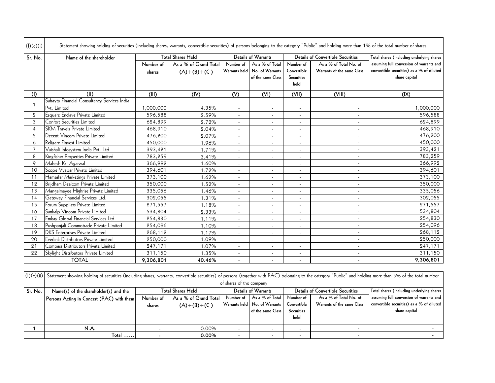| (I)(c)(i)      | Statement showing holding of securities (including shares, warrants, convertible securities) of persons belonging to the category "Public" and holding more than 1% of the total number of shares                      |                                                                                    |                                        |                            |                                                         |                                                       |                                                      |                                                                                                        |
|----------------|------------------------------------------------------------------------------------------------------------------------------------------------------------------------------------------------------------------------|------------------------------------------------------------------------------------|----------------------------------------|----------------------------|---------------------------------------------------------|-------------------------------------------------------|------------------------------------------------------|--------------------------------------------------------------------------------------------------------|
| Sr. No.        | Name of the shareholder                                                                                                                                                                                                |                                                                                    | <b>Total Shares Held</b>               |                            | Details of Warrants                                     |                                                       | <b>Details of Convertible Securities</b>             | Total shares (including underlying shares                                                              |
|                |                                                                                                                                                                                                                        | Number of<br>shares                                                                | As a % of Grand Total<br>$(A)+(B)+(C)$ | Number of<br>Warrants held | As a % of Total<br>No. of Warrants<br>of the same Class | Number of<br>Convertible<br><b>Securities</b><br>held | As a % of Total No. of<br>Warrants of the same Class | assuming full conversion of warrants and<br>convertible securities) as a % of diluted<br>share capital |
| (1)            | (II)                                                                                                                                                                                                                   | (III)                                                                              | (IV)                                   | (V)                        | (VI)                                                    | (VII)                                                 | (VIII)                                               | (IX)                                                                                                   |
|                | Sahayta Financial Consultancy Services India                                                                                                                                                                           |                                                                                    |                                        |                            |                                                         |                                                       |                                                      |                                                                                                        |
| 1              | Pvt. Limited                                                                                                                                                                                                           | 1,000,000                                                                          | 4.35%                                  |                            |                                                         |                                                       |                                                      | 1,000,000                                                                                              |
| $\overline{2}$ | Esquare Enclave Private Limited                                                                                                                                                                                        | 596,588                                                                            | 2.59%                                  | $\overline{\phantom{a}}$   | $\overline{\phantom{a}}$                                | $\sim$                                                | $\sim$                                               | 596,588                                                                                                |
| 3              | <b>Confort Securities Limited</b>                                                                                                                                                                                      | 624,899                                                                            | 2.72%                                  | $\overline{\phantom{a}}$   | $\overline{\phantom{a}}$                                |                                                       | $\overline{\phantom{a}}$                             | 624,899                                                                                                |
| $\overline{4}$ | <b>SKM Travels Private Limited</b>                                                                                                                                                                                     | 468,910                                                                            | 2.04%                                  | $\overline{\phantom{a}}$   | $\overline{\phantom{a}}$                                |                                                       | $\overline{a}$                                       | 468,910                                                                                                |
| 5              | Decent Vincom Private Limited                                                                                                                                                                                          | 476,200                                                                            | 2.07%                                  | $\sim$                     |                                                         |                                                       |                                                      | 476,200                                                                                                |
| 6              | Religare Finvest Limited                                                                                                                                                                                               | 450,000                                                                            | 1.96%                                  | $\blacksquare$             | $\blacksquare$                                          |                                                       | $\overline{\phantom{a}}$                             | 450,000                                                                                                |
| $\overline{7}$ | Vaishali Infosystem India Pvt. Ltd.                                                                                                                                                                                    | 393,421                                                                            | 1.71%                                  | $\sim$                     | $\sim$                                                  | $\sim$                                                | $\blacksquare$                                       | 393,421                                                                                                |
| 8              | Kingfisher Properties Private Limited                                                                                                                                                                                  | 783,259                                                                            | 3.41%                                  |                            | $\overline{a}$                                          |                                                       | $\overline{a}$                                       | 783,259                                                                                                |
| 9              | Mahesh Kr. Agarwal                                                                                                                                                                                                     | 366,992                                                                            | 1.60%                                  | $\overline{\phantom{a}}$   | $\overline{a}$                                          | $\sim$                                                |                                                      | 366,992                                                                                                |
| 10             | Scope Vyapar Private Limited                                                                                                                                                                                           | 394,601                                                                            | 1.72%                                  | $\sim$                     | $\overline{\phantom{a}}$                                |                                                       | $\overline{a}$                                       | 394,601                                                                                                |
| 11             | Hamsafar Marketings Private Limited                                                                                                                                                                                    | 373,100                                                                            | 1.62%                                  | $\blacksquare$             | $\sim$                                                  | $\sim$                                                | $\mathbb{L}^2$                                       | 373,100                                                                                                |
| 12             | Brijdham Dealcom Private Limited                                                                                                                                                                                       | 350,000                                                                            | 1.52%                                  | $\sim$                     | $\sim$                                                  | $\sim$                                                | $\overline{a}$                                       | 350,000                                                                                                |
| 13             | Mangalmayee Highrise Private Limited                                                                                                                                                                                   | 335,056                                                                            | 1.46%                                  | $\overline{\phantom{a}}$   | $\overline{\phantom{a}}$                                | $\sim$                                                | $\overline{a}$                                       | 335,056                                                                                                |
| 14             | Gateway Financial Services Ltd.                                                                                                                                                                                        | 302,055                                                                            | 1.31%                                  | $\mathcal{L}$              | $\sim$                                                  | $\sim$                                                | $\sim$                                               | 302,055                                                                                                |
| 15             | Forum Suppliers Private Limited                                                                                                                                                                                        | 271,557                                                                            | 1.18%                                  | $\overline{\phantom{a}}$   | $\blacksquare$                                          | $\sim$                                                | $\sim$                                               | 271,557                                                                                                |
| 16             | Sankalp Vincom Private Limited                                                                                                                                                                                         | 534,804                                                                            | 2.33%                                  | $\overline{\phantom{a}}$   | $\overline{\phantom{a}}$                                | $\sim$                                                | $\overline{a}$                                       | 534,804                                                                                                |
| 17             | Emkay Global Financial Services Ltd.                                                                                                                                                                                   | 254,830                                                                            | 1.11%                                  | $\sim$                     | $\overline{\phantom{a}}$                                | $\sim$                                                | $\blacksquare$                                       | 254,830                                                                                                |
| 18             | Pushpanjali Commotrade Private Limited                                                                                                                                                                                 | 254,096                                                                            | 1.10%                                  | $\overline{\phantom{a}}$   |                                                         |                                                       | $\overline{a}$                                       | 254,096                                                                                                |
| 19             | <b>DKS</b> Enterprises Private Limited                                                                                                                                                                                 | 268,112                                                                            | 1.17%                                  | $\overline{\phantom{a}}$   | $\overline{\phantom{a}}$                                | $\sim$                                                | $\sim$                                               | 268,112                                                                                                |
| 20             | Everlink Distributors Private Limited                                                                                                                                                                                  | 250,000                                                                            | 1.09%                                  | $\overline{\phantom{a}}$   | $\overline{\phantom{a}}$                                | $\overline{\phantom{a}}$                              | $\blacksquare$                                       | 250,000                                                                                                |
| 21             | Compass Distributors Private Limited                                                                                                                                                                                   | 247,171                                                                            | 1.07%                                  | $\sim$                     | $\overline{a}$                                          |                                                       | $\overline{a}$                                       | 247,171                                                                                                |
| 22             | Skylight Distributors Private Limited                                                                                                                                                                                  | 311,150                                                                            | 1.35%                                  | $\blacksquare$             | $\overline{\phantom{a}}$                                | $\sim$                                                | $\blacksquare$                                       | 311,150                                                                                                |
|                | <b>TOTAL</b>                                                                                                                                                                                                           | 9,306,801                                                                          | 40.46%                                 | $\mathcal{L}$              | $\overline{\phantom{a}}$                                |                                                       | $\overline{a}$                                       | 9,306,801                                                                                              |
|                | (I)(c)(ii) Statement showing holding of securities (including shares, warrants, convertible securities) of persons (together with PAC) belonging to the category "Public" and holding more than 5% of the total number |                                                                                    |                                        |                            |                                                         |                                                       |                                                      |                                                                                                        |
|                |                                                                                                                                                                                                                        | of shares of the company<br><b>Total Shares Held</b><br><b>Details of Warrants</b> |                                        |                            |                                                         |                                                       |                                                      |                                                                                                        |
| Sr. No.        | Name(s) of the shareholder(s) and the                                                                                                                                                                                  |                                                                                    |                                        |                            |                                                         |                                                       | <b>Details of Convertible Securities</b>             | Total shares (including underlying shares                                                              |
|                | Persons Acting in Concert (PAC) with them                                                                                                                                                                              | Number of                                                                          | As a % of Grand Total                  | Number of                  | As a % of Total<br>Warrants held   No. of Warrants      | Number of<br>Convertible                              | As a % of Total No. of<br>Warrants of the same Class | assuming full conversion of warrants and<br>convertible securities) as a % of diluted                  |
|                |                                                                                                                                                                                                                        | shares                                                                             | $(A)+(B)+(C)$                          |                            | of the same Class                                       | <b>Securities</b><br>held                             |                                                      | share capital                                                                                          |
| $\mathbf 1$    | N.A.                                                                                                                                                                                                                   | $\sim$                                                                             | 0.00%                                  | $\sim$                     | $\blacksquare$                                          |                                                       | $\overline{a}$                                       |                                                                                                        |

| (1)(c)(ii) | Statement showing holding of securities (including shares, warrants, convertible securities) of persons (together with PAC) belonging to the category "Public" and holding more than 5% of the total number |                   |                       |                            |                                 |                                          |                            |                                           |
|------------|-------------------------------------------------------------------------------------------------------------------------------------------------------------------------------------------------------------|-------------------|-----------------------|----------------------------|---------------------------------|------------------------------------------|----------------------------|-------------------------------------------|
|            | of shares of the company                                                                                                                                                                                    |                   |                       |                            |                                 |                                          |                            |                                           |
| Sr. No.    | Name(s) of the shareholder(s) and the                                                                                                                                                                       | Total Shares Held |                       | <b>Details of Warrants</b> |                                 | <b>Details of Convertible Securities</b> |                            | Total shares (including underlying shares |
|            | Persons Acting in Concert (PAC) with them                                                                                                                                                                   | Number of         | As a % of Grand Total |                            | Number of As a % of Total       | Number of                                | As a % of Total No. of     | assuming full conversion of warrants and  |
|            |                                                                                                                                                                                                             | shares            | $(A)+(B)+(C)$         |                            | Warrants held   No. of Warrants | Convertible                              | Warrants of the same Class | convertible securities) as a % of diluted |
|            |                                                                                                                                                                                                             |                   |                       |                            | of the same Class               | Securities                               |                            | share capital                             |
|            |                                                                                                                                                                                                             |                   |                       |                            |                                 | held                                     |                            |                                           |
|            | N.A.                                                                                                                                                                                                        |                   | 0.00%                 | $\overline{\phantom{0}}$   |                                 | $\overline{\phantom{a}}$                 |                            |                                           |
|            | $Total$                                                                                                                                                                                                     |                   | 0.00%                 | $\overline{\phantom{a}}$   |                                 |                                          |                            |                                           |
|            |                                                                                                                                                                                                             |                   |                       |                            |                                 |                                          |                            |                                           |